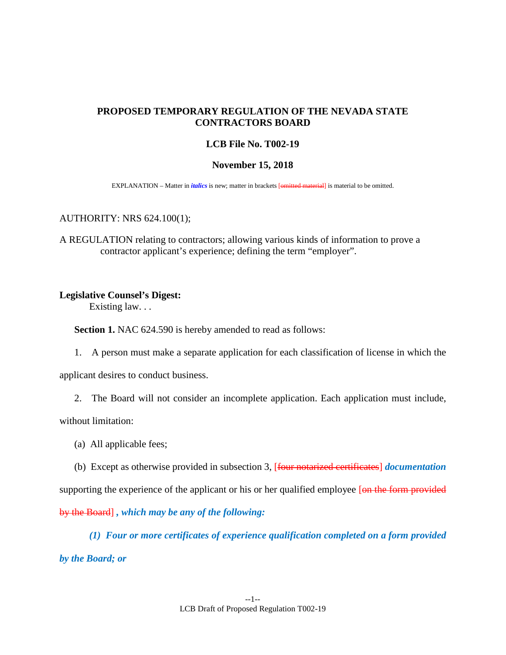# **PROPOSED TEMPORARY REGULATION OF THE NEVADA STATE CONTRACTORS BOARD**

## **LCB File No. T002-19**

### **November 15, 2018**

EXPLANATION – Matter in *italics* is new; matter in brackets [omitted material] is material to be omitted.

### AUTHORITY: NRS 624.100(1);

A REGULATION relating to contractors; allowing various kinds of information to prove a contractor applicant's experience; defining the term "employer".

#### **Legislative Counsel's Digest:**

Existing law. . .

**Section 1.** NAC 624.590 is hereby amended to read as follows:

1. A person must make a separate application for each classification of license in which the

applicant desires to conduct business.

2. The Board will not consider an incomplete application. Each application must include,

without limitation:

- (a) All applicable fees;
- (b) Except as otherwise provided in subsection 3, [four notarized certificates] *documentation*

supporting the experience of the applicant or his or her qualified employee [on the form provided by the Board] *, which may be any of the following:*

*(1) Four or more certificates of experience qualification completed on a form provided by the Board; or*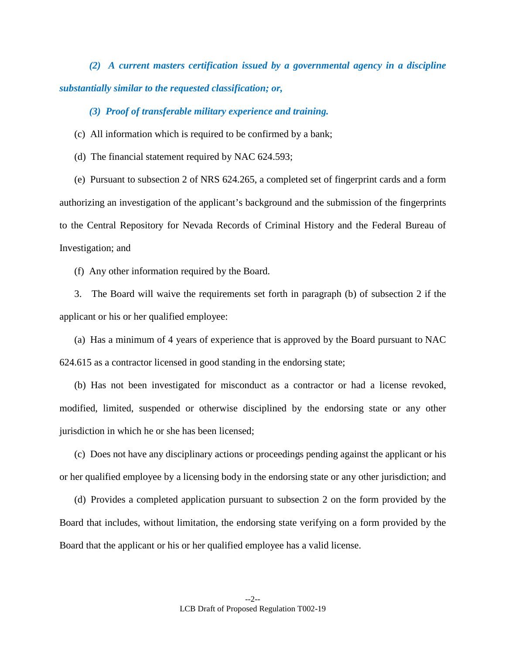*(2) A current masters certification issued by a governmental agency in a discipline substantially similar to the requested classification; or,*

*(3) Proof of transferable military experience and training.*

(c) All information which is required to be confirmed by a bank;

(d) The financial statement required by NAC 624.593;

 (e) Pursuant to subsection 2 of NRS 624.265, a completed set of fingerprint cards and a form authorizing an investigation of the applicant's background and the submission of the fingerprints to the Central Repository for Nevada Records of Criminal History and the Federal Bureau of Investigation; and

(f) Any other information required by the Board.

 3. The Board will waive the requirements set forth in paragraph (b) of subsection 2 if the applicant or his or her qualified employee:

 (a) Has a minimum of 4 years of experience that is approved by the Board pursuant to NAC 624.615 as a contractor licensed in good standing in the endorsing state;

 (b) Has not been investigated for misconduct as a contractor or had a license revoked, modified, limited, suspended or otherwise disciplined by the endorsing state or any other jurisdiction in which he or she has been licensed;

 (c) Does not have any disciplinary actions or proceedings pending against the applicant or his or her qualified employee by a licensing body in the endorsing state or any other jurisdiction; and

 (d) Provides a completed application pursuant to subsection 2 on the form provided by the Board that includes, without limitation, the endorsing state verifying on a form provided by the Board that the applicant or his or her qualified employee has a valid license.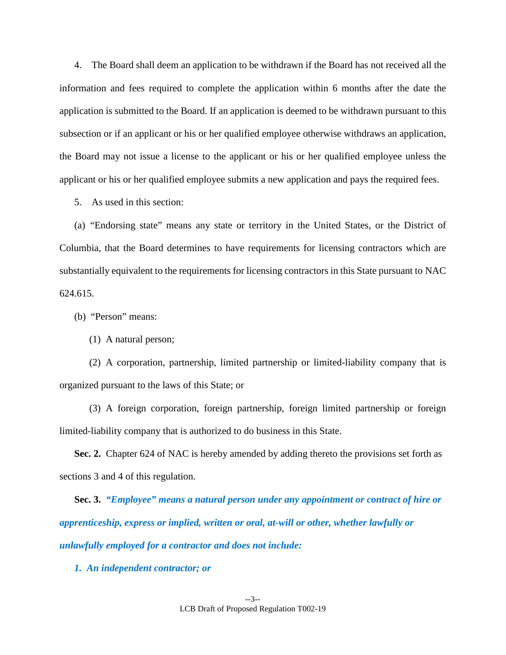4. The Board shall deem an application to be withdrawn if the Board has not received all the information and fees required to complete the application within 6 months after the date the application is submitted to the Board. If an application is deemed to be withdrawn pursuant to this subsection or if an applicant or his or her qualified employee otherwise withdraws an application, the Board may not issue a license to the applicant or his or her qualified employee unless the applicant or his or her qualified employee submits a new application and pays the required fees.

5. As used in this section:

 (a) "Endorsing state" means any state or territory in the United States, or the District of Columbia, that the Board determines to have requirements for licensing contractors which are substantially equivalent to the requirements for licensing contractors in this State pursuant to NAC 624.615.

(b) "Person" means:

(1) A natural person;

 (2) A corporation, partnership, limited partnership or limited-liability company that is organized pursuant to the laws of this State; or

 (3) A foreign corporation, foreign partnership, foreign limited partnership or foreign limited-liability company that is authorized to do business in this State.

**Sec. 2.** Chapter 624 of NAC is hereby amended by adding thereto the provisions set forth as sections 3 and 4 of this regulation.

**Sec. 3.** *"Employee" means a natural person under any appointment or contract of hire or apprenticeship, express or implied, written or oral, at-will or other, whether lawfully or unlawfully employed for a contractor and does not include:*

*1. An independent contractor; or*